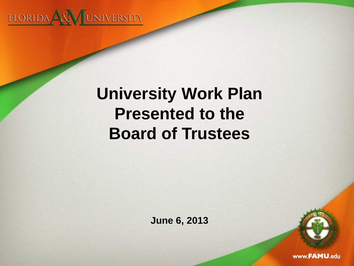

# **University Work Plan Presented to the Board of Trustees**

**June 6, 2013**

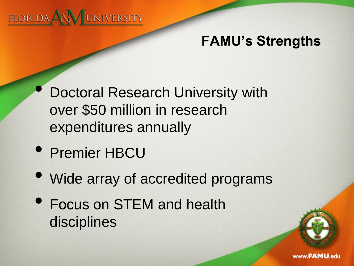

# **FAMU's Strengths**

- Doctoral Research University with over \$50 million in research expenditures annually
- Premier HBCU
- Wide array of accredited programs
- Focus on STEM and health disciplines

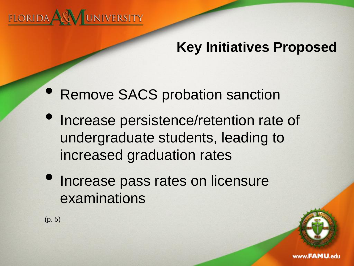

# **Key Initiatives Proposed**

- Remove SACS probation sanction
- Increase persistence/retention rate of undergraduate students, leading to increased graduation rates
- Increase pass rates on licensure examinations

(p. 5)

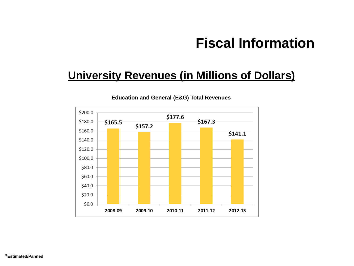## **Fiscal Information**

## **University Revenues (in Millions of Dollars)**



**Education and General (E&G) Total Revenues**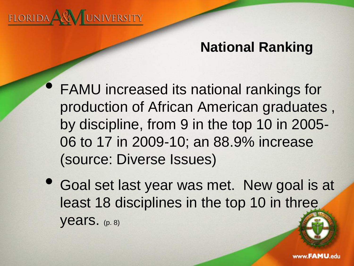

# **National Ranking**

- FAMU increased its national rankings for production of African American graduates , by discipline, from 9 in the top 10 in 2005-06 to 17 in 2009-10; an 88.9% increase (source: Diverse Issues)
- Goal set last year was met. New goal is at least 18 disciplines in the top 10 in three years. (p. 8)

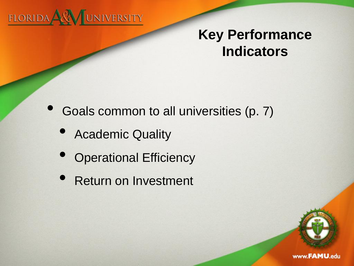

• Goals common to all universities (p. 7)

- Academic Quality
- **Operational Efficiency**
- Return on Investment

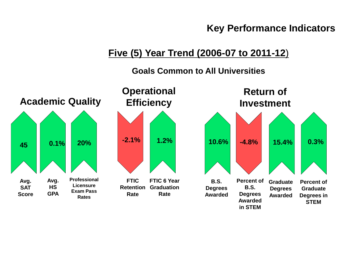## **Five (5) Year Trend (2006-07 to 2011-12**)

#### **Goals Common to All Universities**

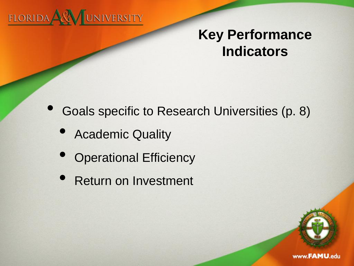

• Goals specific to Research Universities (p. 8)

- Academic Quality
- **Operational Efficiency**
- Return on Investment

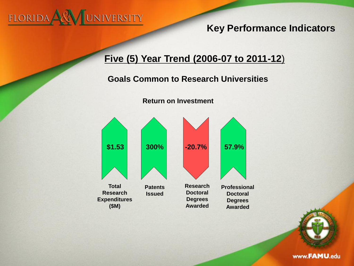

## **Five (5) Year Trend (2006-07 to 2011-12**)

## **Goals Common to Research Universities**



**Return on Investment**

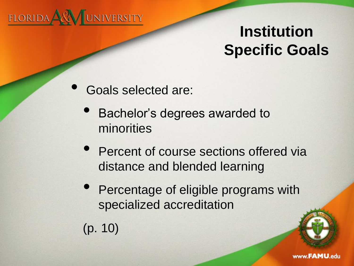

# **Institution Specific Goals**

- Goals selected are:
	- Bachelor's degrees awarded to minorities
	- Percent of course sections offered via distance and blended learning
	- Percentage of eligible programs with specialized accreditation
	- (p. 10)

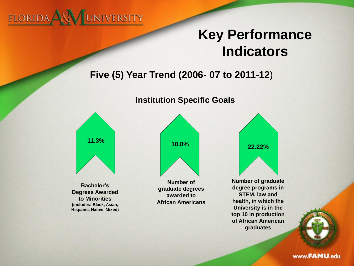

## **Five (5) Year Trend (2006- 07 to 2011-12**)

#### **Institution Specific Goals**



**Bachelor's Degrees Awarded to Minorities (includes: Black, Asian, Hispanic, Native, Mixed)**



**Number of graduate degrees awarded to African Americans**



**Number of graduate degree programs in STEM, law and health, in which the University is in the top 10 in production of African American graduates**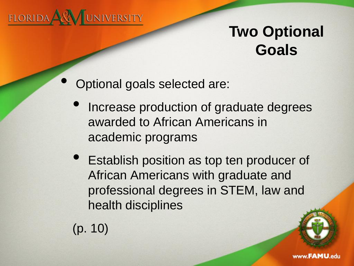

# **Two Optional Goals**

- Optional goals selected are:
	- Increase production of graduate degrees awarded to African Americans in academic programs
	- **Establish position as top ten producer of** African Americans with graduate and professional degrees in STEM, law and health disciplines
	- (p. 10)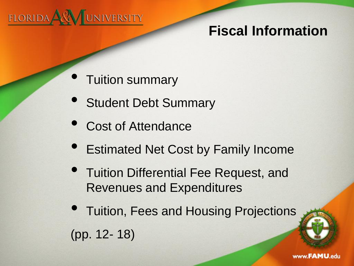

# **Fiscal Information**

- Tuition summary
- Student Debt Summary
- Cost of Attendance
- Estimated Net Cost by Family Income
- Tuition Differential Fee Request, and Revenues and Expenditures
- Tuition, Fees and Housing Projections (pp. 12- 18)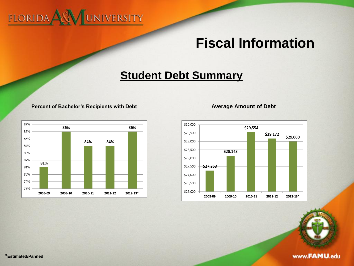# FLORIDA ARA JUNIVERSITY

## **Fiscal Information**

## **Student Debt Summary**

#### **Percent of Bachelor's Recipients with Debt Average Amount of Debt**



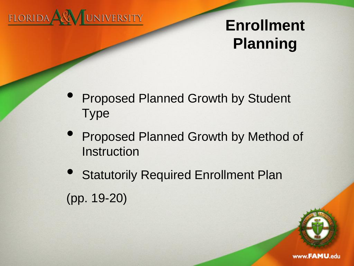

# **Enrollment Planning**

- Proposed Planned Growth by Student Type
- Proposed Planned Growth by Method of **Instruction**
- **Statutorily Required Enrollment Plan** (pp. 19-20)

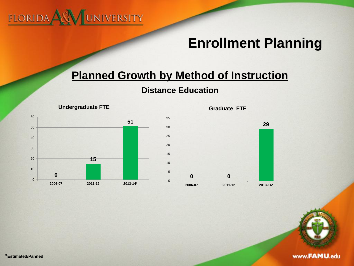

## **Enrollment Planning**

## **Planned Growth by Method of Instruction**

#### **Distance Education**







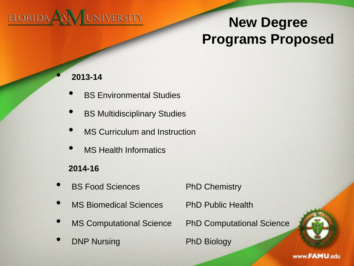

# **New Degree Programs Proposed**

#### • **2013-14**

- **BS Environmental Studies**
- **BS Multidisciplinary Studies**
- MS Curriculum and Instruction
- **MS Health Informatics**

### **2014-16**

- **BS Food Sciences** PhD Chemistry
- MS Biomedical Sciences PhD Public Health
- 
- **DNP Nursing PhD Biology**

MS Computational Science PhD Computational Science